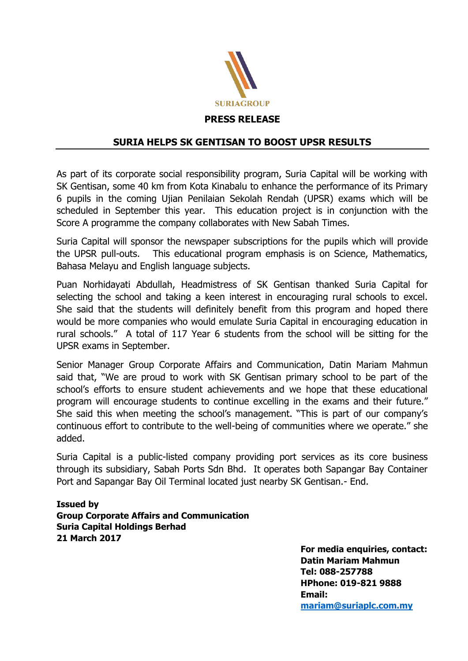

## **SURIA HELPS SK GENTISAN TO BOOST UPSR RESULTS**

As part of its corporate social responsibility program, Suria Capital will be working with SK Gentisan, some 40 km from Kota Kinabalu to enhance the performance of its Primary 6 pupils in the coming Ujian Penilaian Sekolah Rendah (UPSR) exams which will be scheduled in September this year. This education project is in conjunction with the Score A programme the company collaborates with New Sabah Times.

Suria Capital will sponsor the newspaper subscriptions for the pupils which will provide the UPSR pull-outs. This educational program emphasis is on Science, Mathematics, Bahasa Melayu and English language subjects.

Puan Norhidayati Abdullah, Headmistress of SK Gentisan thanked Suria Capital for selecting the school and taking a keen interest in encouraging rural schools to excel. She said that the students will definitely benefit from this program and hoped there would be more companies who would emulate Suria Capital in encouraging education in rural schools." A total of 117 Year 6 students from the school will be sitting for the UPSR exams in September.

Senior Manager Group Corporate Affairs and Communication, Datin Mariam Mahmun said that, "We are proud to work with SK Gentisan primary school to be part of the school's efforts to ensure student achievements and we hope that these educational program will encourage students to continue excelling in the exams and their future." She said this when meeting the school's management. "This is part of our company's continuous effort to contribute to the well-being of communities where we operate." she added.

Suria Capital is a public-listed company providing port services as its core business through its subsidiary, Sabah Ports Sdn Bhd. It operates both Sapangar Bay Container Port and Sapangar Bay Oil Terminal located just nearby SK Gentisan.- End.

## **Issued by Group Corporate Affairs and Communication Suria Capital Holdings Berhad 21 March 2017**

**For media enquiries, contact: Datin Mariam Mahmun Tel: 088-257788 HPhone: 019-821 9888 Email: [mariam@suriaplc.com.my](mailto:mariam@suriaplc.com.my)**